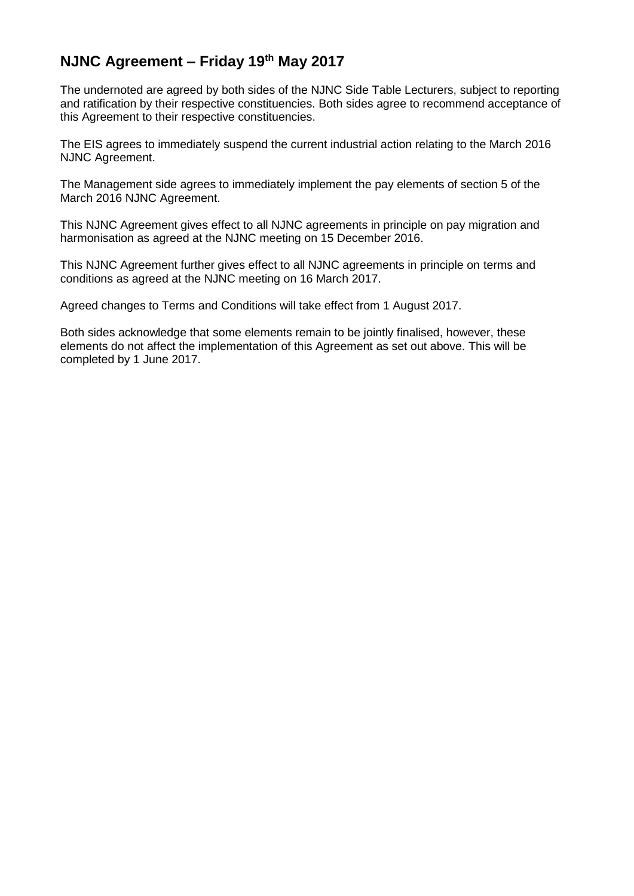## **NJNC Agreement – Friday 19 th May 2017**

The undernoted are agreed by both sides of the NJNC Side Table Lecturers, subject to reporting and ratification by their respective constituencies. Both sides agree to recommend acceptance of this Agreement to their respective constituencies.

The EIS agrees to immediately suspend the current industrial action relating to the March 2016 NJNC Agreement.

The Management side agrees to immediately implement the pay elements of section 5 of the March 2016 NJNC Agreement.

This NJNC Agreement gives effect to all NJNC agreements in principle on pay migration and harmonisation as agreed at the NJNC meeting on 15 December 2016.

This NJNC Agreement further gives effect to all NJNC agreements in principle on terms and conditions as agreed at the NJNC meeting on 16 March 2017.

Agreed changes to Terms and Conditions will take effect from 1 August 2017.

Both sides acknowledge that some elements remain to be jointly finalised, however, these elements do not affect the implementation of this Agreement as set out above. This will be completed by 1 June 2017.